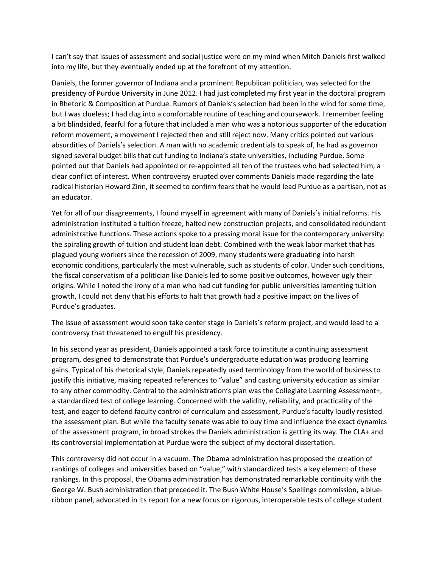I can't say that issues of assessment and social justice were on my mind when Mitch Daniels first walked into my life, but they eventually ended up at the forefront of my attention.

Daniels, the former governor of Indiana and a prominent Republican politician, was selected for the presidency of Purdue University in June 2012. I had just completed my first year in the doctoral program in Rhetoric & Composition at Purdue. Rumors of Daniels's selection had been in the wind for some time, but I was clueless; I had dug into a comfortable routine of teaching and coursework. I remember feeling a bit blindsided, fearful for a future that included a man who was a notorious supporter of the education reform movement, a movement I rejected then and still reject now. Many critics pointed out various absurdities of Daniels's selection. A man with no academic credentials to speak of, he had as governor signed several budget bills that cut funding to Indiana's state universities, including Purdue. Some pointed out that Daniels had appointed or re-appointed all ten of the trustees who had selected him, a clear conflict of interest. When controversy erupted over comments Daniels made regarding the late radical historian Howard Zinn, it seemed to confirm fears that he would lead Purdue as a partisan, not as an educator.

Yet for all of our disagreements, I found myself in agreement with many of Daniels's initial reforms. His administration instituted a tuition freeze, halted new construction projects, and consolidated redundant administrative functions. These actions spoke to a pressing moral issue for the contemporary university: the spiraling growth of tuition and student loan debt. Combined with the weak labor market that has plagued young workers since the recession of 2009, many students were graduating into harsh economic conditions, particularly the most vulnerable, such as students of color. Under such conditions, the fiscal conservatism of a politician like Daniels led to some positive outcomes, however ugly their origins. While I noted the irony of a man who had cut funding for public universities lamenting tuition growth, I could not deny that his efforts to halt that growth had a positive impact on the lives of Purdue's graduates.

The issue of assessment would soon take center stage in Daniels's reform project, and would lead to a controversy that threatened to engulf his presidency.

In his second year as president, Daniels appointed a task force to institute a continuing assessment program, designed to demonstrate that Purdue's undergraduate education was producing learning gains. Typical of his rhetorical style, Daniels repeatedly used terminology from the world of business to justify this initiative, making repeated references to "value" and casting university education as similar to any other commodity. Central to the administration's plan was the Collegiate Learning Assessment+, a standardized test of college learning. Concerned with the validity, reliability, and practicality of the test, and eager to defend faculty control of curriculum and assessment, Purdue's faculty loudly resisted the assessment plan. But while the faculty senate was able to buy time and influence the exact dynamics of the assessment program, in broad strokes the Daniels administration is getting its way. The CLA+ and its controversial implementation at Purdue were the subject of my doctoral dissertation.

This controversy did not occur in a vacuum. The Obama administration has proposed the creation of rankings of colleges and universities based on "value," with standardized tests a key element of these rankings. In this proposal, the Obama administration has demonstrated remarkable continuity with the George W. Bush administration that preceded it. The Bush White House's Spellings commission, a blueribbon panel, advocated in its report for a new focus on rigorous, interoperable tests of college student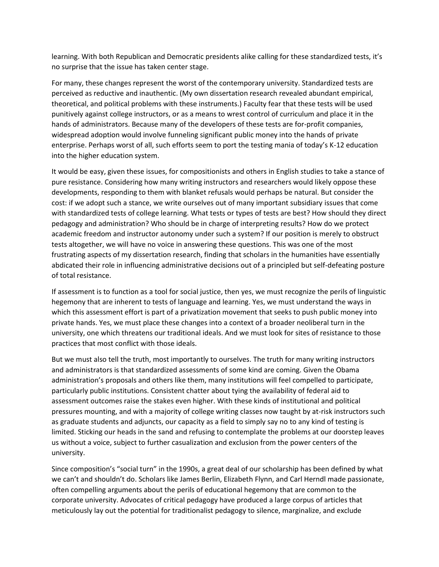learning. With both Republican and Democratic presidents alike calling for these standardized tests, it's no surprise that the issue has taken center stage.

For many, these changes represent the worst of the contemporary university. Standardized tests are perceived as reductive and inauthentic. (My own dissertation research revealed abundant empirical, theoretical, and political problems with these instruments.) Faculty fear that these tests will be used punitively against college instructors, or as a means to wrest control of curriculum and place it in the hands of administrators. Because many of the developers of these tests are for-profit companies, widespread adoption would involve funneling significant public money into the hands of private enterprise. Perhaps worst of all, such efforts seem to port the testing mania of today's K-12 education into the higher education system.

It would be easy, given these issues, for compositionists and others in English studies to take a stance of pure resistance. Considering how many writing instructors and researchers would likely oppose these developments, responding to them with blanket refusals would perhaps be natural. But consider the cost: if we adopt such a stance, we write ourselves out of many important subsidiary issues that come with standardized tests of college learning. What tests or types of tests are best? How should they direct pedagogy and administration? Who should be in charge of interpreting results? How do we protect academic freedom and instructor autonomy under such a system? If our position is merely to obstruct tests altogether, we will have no voice in answering these questions. This was one of the most frustrating aspects of my dissertation research, finding that scholars in the humanities have essentially abdicated their role in influencing administrative decisions out of a principled but self-defeating posture of total resistance.

If assessment is to function as a tool for social justice, then yes, we must recognize the perils of linguistic hegemony that are inherent to tests of language and learning. Yes, we must understand the ways in which this assessment effort is part of a privatization movement that seeks to push public money into private hands. Yes, we must place these changes into a context of a broader neoliberal turn in the university, one which threatens our traditional ideals. And we must look for sites of resistance to those practices that most conflict with those ideals.

But we must also tell the truth, most importantly to ourselves. The truth for many writing instructors and administrators is that standardized assessments of some kind are coming. Given the Obama administration's proposals and others like them, many institutions will feel compelled to participate, particularly public institutions. Consistent chatter about tying the availability of federal aid to assessment outcomes raise the stakes even higher. With these kinds of institutional and political pressures mounting, and with a majority of college writing classes now taught by at-risk instructors such as graduate students and adjuncts, our capacity as a field to simply say no to any kind of testing is limited. Sticking our heads in the sand and refusing to contemplate the problems at our doorstep leaves us without a voice, subject to further casualization and exclusion from the power centers of the university.

Since composition's "social turn" in the 1990s, a great deal of our scholarship has been defined by what we can't and shouldn't do. Scholars like James Berlin, Elizabeth Flynn, and Carl Herndl made passionate, often compelling arguments about the perils of educational hegemony that are common to the corporate university. Advocates of critical pedagogy have produced a large corpus of articles that meticulously lay out the potential for traditionalist pedagogy to silence, marginalize, and exclude